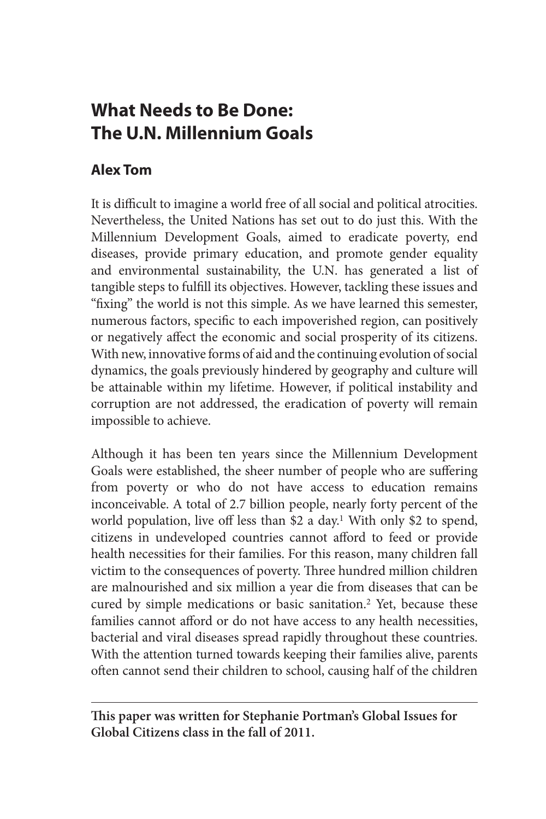# **What Needs to Be Done: The U.N. Millennium Goals**

# **Alex Tom**

It is difficult to imagine a world free of all social and political atrocities. Nevertheless, the United Nations has set out to do just this. With the Millennium Development Goals, aimed to eradicate poverty, end diseases, provide primary education, and promote gender equality and environmental sustainability, the U.N. has generated a list of tangible steps to fulfill its objectives. However, tackling these issues and "fixing" the world is not this simple. As we have learned this semester, numerous factors, specific to each impoverished region, can positively or negatively affect the economic and social prosperity of its citizens. With new, innovative forms of aid and the continuing evolution of social dynamics, the goals previously hindered by geography and culture will be attainable within my lifetime. However, if political instability and corruption are not addressed, the eradication of poverty will remain impossible to achieve.

Although it has been ten years since the Millennium Development Goals were established, the sheer number of people who are suffering from poverty or who do not have access to education remains inconceivable. A total of 2.7 billion people, nearly forty percent of the world population, live off less than \$2 a day.<sup>1</sup> With only \$2 to spend, citizens in undeveloped countries cannot afford to feed or provide health necessities for their families. For this reason, many children fall victim to the consequences of poverty. Three hundred million children are malnourished and six million a year die from diseases that can be cured by simple medications or basic sanitation.<sup>2</sup> Yet, because these families cannot afford or do not have access to any health necessities, bacterial and viral diseases spread rapidly throughout these countries. With the attention turned towards keeping their families alive, parents often cannot send their children to school, causing half of the children

**This paper was written for Stephanie Portman's Global Issues for Global Citizens class in the fall of 2011.**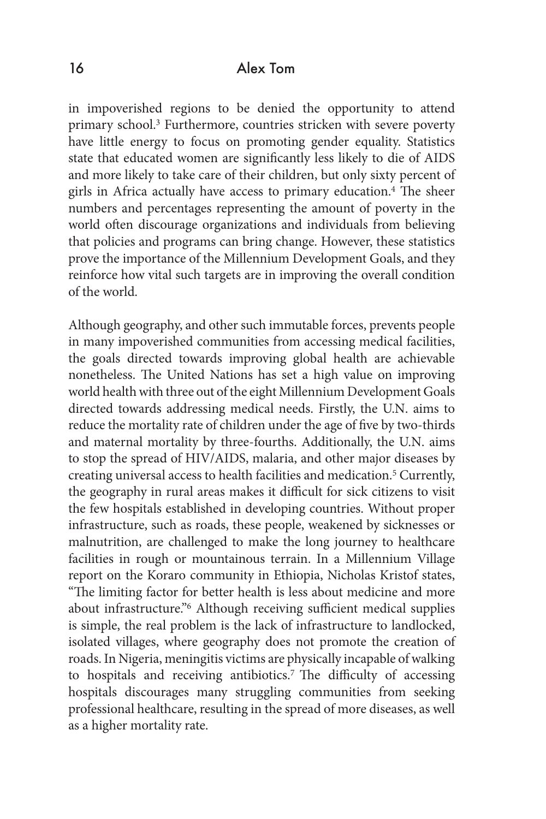in impoverished regions to be denied the opportunity to attend primary school.3 Furthermore, countries stricken with severe poverty have little energy to focus on promoting gender equality. Statistics state that educated women are significantly less likely to die of AIDS and more likely to take care of their children, but only sixty percent of girls in Africa actually have access to primary education.4 The sheer numbers and percentages representing the amount of poverty in the world often discourage organizations and individuals from believing that policies and programs can bring change. However, these statistics prove the importance of the Millennium Development Goals, and they reinforce how vital such targets are in improving the overall condition of the world.

Although geography, and other such immutable forces, prevents people in many impoverished communities from accessing medical facilities, the goals directed towards improving global health are achievable nonetheless. The United Nations has set a high value on improving world health with three out of the eight Millennium Development Goals directed towards addressing medical needs. Firstly, the U.N. aims to reduce the mortality rate of children under the age of five by two-thirds and maternal mortality by three-fourths. Additionally, the U.N. aims to stop the spread of HIV/AIDS, malaria, and other major diseases by creating universal access to health facilities and medication.5 Currently, the geography in rural areas makes it difficult for sick citizens to visit the few hospitals established in developing countries. Without proper infrastructure, such as roads, these people, weakened by sicknesses or malnutrition, are challenged to make the long journey to healthcare facilities in rough or mountainous terrain. In a Millennium Village report on the Koraro community in Ethiopia, Nicholas Kristof states, "The limiting factor for better health is less about medicine and more about infrastructure."6 Although receiving sufficient medical supplies is simple, the real problem is the lack of infrastructure to landlocked, isolated villages, where geography does not promote the creation of roads. In Nigeria, meningitis victims are physically incapable of walking to hospitals and receiving antibiotics.<sup>7</sup> The difficulty of accessing hospitals discourages many struggling communities from seeking professional healthcare, resulting in the spread of more diseases, as well as a higher mortality rate.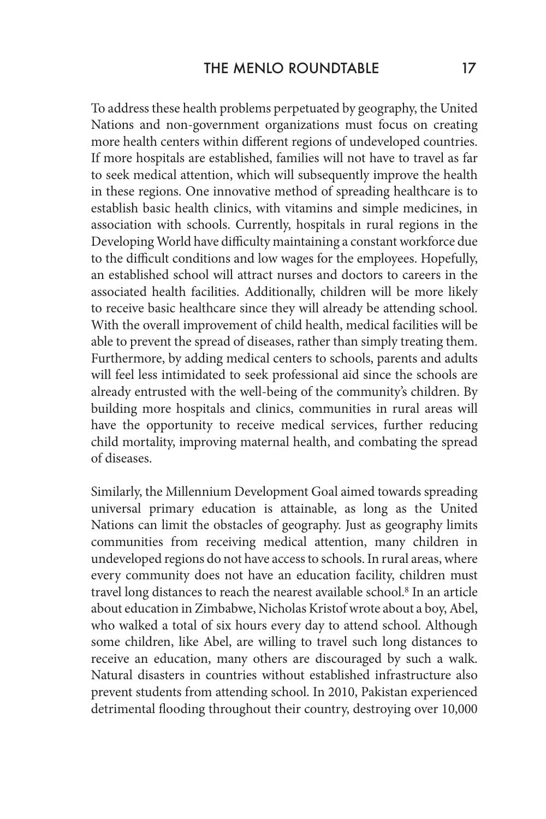To address these health problems perpetuated by geography, the United Nations and non-government organizations must focus on creating more health centers within different regions of undeveloped countries. If more hospitals are established, families will not have to travel as far to seek medical attention, which will subsequently improve the health in these regions. One innovative method of spreading healthcare is to establish basic health clinics, with vitamins and simple medicines, in association with schools. Currently, hospitals in rural regions in the Developing World have difficulty maintaining a constant workforce due to the difficult conditions and low wages for the employees. Hopefully, an established school will attract nurses and doctors to careers in the associated health facilities. Additionally, children will be more likely to receive basic healthcare since they will already be attending school. With the overall improvement of child health, medical facilities will be able to prevent the spread of diseases, rather than simply treating them. Furthermore, by adding medical centers to schools, parents and adults will feel less intimidated to seek professional aid since the schools are already entrusted with the well-being of the community's children. By building more hospitals and clinics, communities in rural areas will have the opportunity to receive medical services, further reducing child mortality, improving maternal health, and combating the spread of diseases.

Similarly, the Millennium Development Goal aimed towards spreading universal primary education is attainable, as long as the United Nations can limit the obstacles of geography. Just as geography limits communities from receiving medical attention, many children in undeveloped regions do not have access to schools. In rural areas, where every community does not have an education facility, children must travel long distances to reach the nearest available school.<sup>8</sup> In an article about education in Zimbabwe, Nicholas Kristof wrote about a boy, Abel, who walked a total of six hours every day to attend school. Although some children, like Abel, are willing to travel such long distances to receive an education, many others are discouraged by such a walk. Natural disasters in countries without established infrastructure also prevent students from attending school. In 2010, Pakistan experienced detrimental flooding throughout their country, destroying over 10,000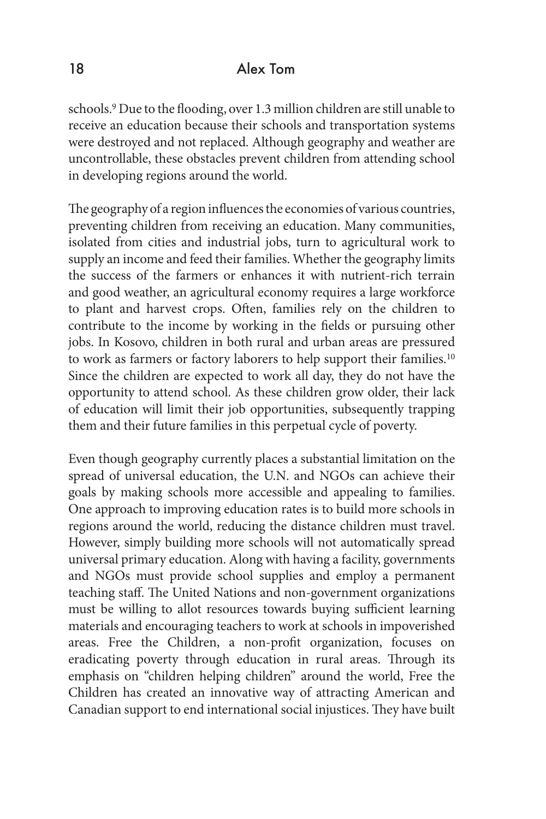schools.<sup>9</sup> Due to the flooding, over 1.3 million children are still unable to receive an education because their schools and transportation systems were destroyed and not replaced. Although geography and weather are uncontrollable, these obstacles prevent children from attending school in developing regions around the world.

The geography of a region influences the economies of various countries, preventing children from receiving an education. Many communities, isolated from cities and industrial jobs, turn to agricultural work to supply an income and feed their families. Whether the geography limits the success of the farmers or enhances it with nutrient-rich terrain and good weather, an agricultural economy requires a large workforce to plant and harvest crops. Often, families rely on the children to contribute to the income by working in the fields or pursuing other jobs. In Kosovo, children in both rural and urban areas are pressured to work as farmers or factory laborers to help support their families.10 Since the children are expected to work all day, they do not have the opportunity to attend school. As these children grow older, their lack of education will limit their job opportunities, subsequently trapping them and their future families in this perpetual cycle of poverty.

Even though geography currently places a substantial limitation on the spread of universal education, the U.N. and NGOs can achieve their goals by making schools more accessible and appealing to families. One approach to improving education rates is to build more schools in regions around the world, reducing the distance children must travel. However, simply building more schools will not automatically spread universal primary education. Along with having a facility, governments and NGOs must provide school supplies and employ a permanent teaching staff. The United Nations and non-government organizations must be willing to allot resources towards buying sufficient learning materials and encouraging teachers to work at schools in impoverished areas. Free the Children, a non-profit organization, focuses on eradicating poverty through education in rural areas. Through its emphasis on "children helping children" around the world, Free the Children has created an innovative way of attracting American and Canadian support to end international social injustices. They have built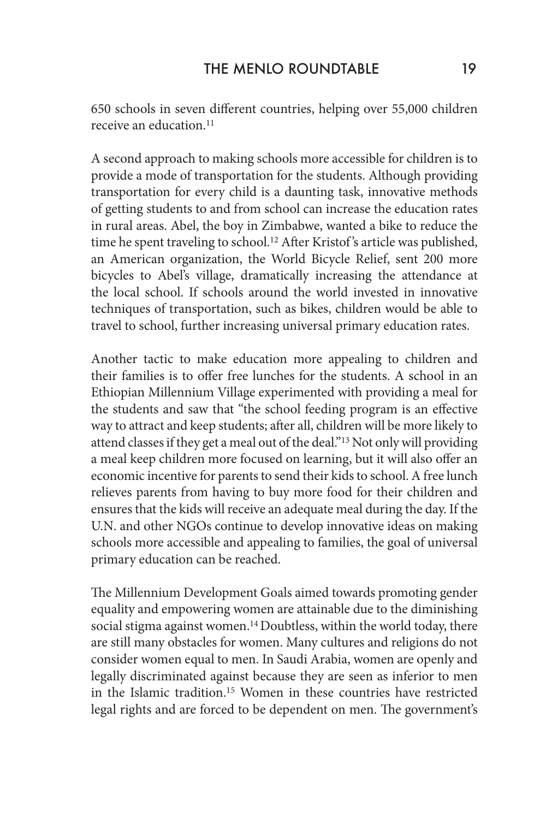650 schools in seven different countries, helping over 55,000 children receive an education.11

A second approach to making schools more accessible for children is to provide a mode of transportation for the students. Although providing transportation for every child is a daunting task, innovative methods of getting students to and from school can increase the education rates in rural areas. Abel, the boy in Zimbabwe, wanted a bike to reduce the time he spent traveling to school.<sup>12</sup> After Kristof's article was published, an American organization, the World Bicycle Relief, sent 200 more bicycles to Abel's village, dramatically increasing the attendance at the local school. If schools around the world invested in innovative techniques of transportation, such as bikes, children would be able to travel to school, further increasing universal primary education rates.

Another tactic to make education more appealing to children and their families is to offer free lunches for the students. A school in an Ethiopian Millennium Village experimented with providing a meal for the students and saw that "the school feeding program is an effective way to attract and keep students; after all, children will be more likely to attend classes if they get a meal out of the deal."13 Not only will providing a meal keep children more focused on learning, but it will also offer an economic incentive for parents to send their kids to school. A free lunch relieves parents from having to buy more food for their children and ensures that the kids will receive an adequate meal during the day. If the U.N. and other NGOs continue to develop innovative ideas on making schools more accessible and appealing to families, the goal of universal primary education can be reached.

The Millennium Development Goals aimed towards promoting gender equality and empowering women are attainable due to the diminishing social stigma against women.<sup>14</sup> Doubtless, within the world today, there are still many obstacles for women. Many cultures and religions do not consider women equal to men. In Saudi Arabia, women are openly and legally discriminated against because they are seen as inferior to men in the Islamic tradition.15 Women in these countries have restricted legal rights and are forced to be dependent on men. The government's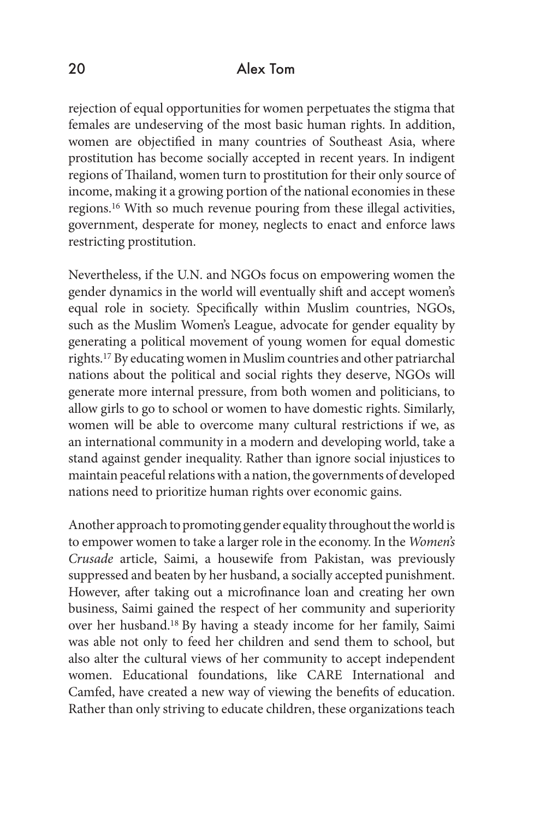rejection of equal opportunities for women perpetuates the stigma that females are undeserving of the most basic human rights. In addition, women are objectified in many countries of Southeast Asia, where prostitution has become socially accepted in recent years. In indigent regions of Thailand, women turn to prostitution for their only source of income, making it a growing portion of the national economies in these regions.16 With so much revenue pouring from these illegal activities, government, desperate for money, neglects to enact and enforce laws restricting prostitution.

Nevertheless, if the U.N. and NGOs focus on empowering women the gender dynamics in the world will eventually shift and accept women's equal role in society. Specifically within Muslim countries, NGOs, such as the Muslim Women's League, advocate for gender equality by generating a political movement of young women for equal domestic rights.17 By educating women in Muslim countries and other patriarchal nations about the political and social rights they deserve, NGOs will generate more internal pressure, from both women and politicians, to allow girls to go to school or women to have domestic rights. Similarly, women will be able to overcome many cultural restrictions if we, as an international community in a modern and developing world, take a stand against gender inequality. Rather than ignore social injustices to maintain peaceful relations with a nation, the governments of developed nations need to prioritize human rights over economic gains.

Another approach to promoting gender equality throughout the world is to empower women to take a larger role in the economy. In the *Women's Crusade* article, Saimi, a housewife from Pakistan, was previously suppressed and beaten by her husband, a socially accepted punishment. However, after taking out a microfinance loan and creating her own business, Saimi gained the respect of her community and superiority over her husband.18 By having a steady income for her family, Saimi was able not only to feed her children and send them to school, but also alter the cultural views of her community to accept independent women. Educational foundations, like CARE International and Camfed, have created a new way of viewing the benefits of education. Rather than only striving to educate children, these organizations teach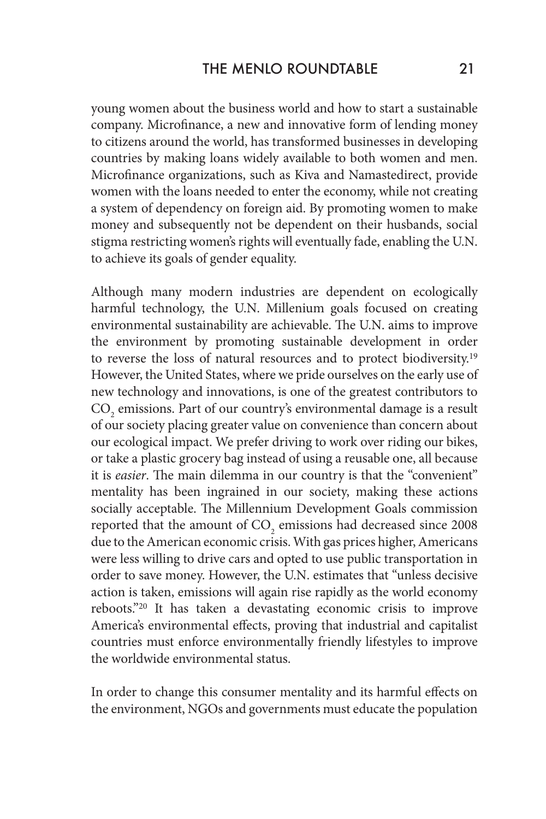young women about the business world and how to start a sustainable company. Microfinance, a new and innovative form of lending money to citizens around the world, has transformed businesses in developing countries by making loans widely available to both women and men. Microfinance organizations, such as Kiva and Namastedirect, provide women with the loans needed to enter the economy, while not creating a system of dependency on foreign aid. By promoting women to make money and subsequently not be dependent on their husbands, social stigma restricting women's rights will eventually fade, enabling the U.N. to achieve its goals of gender equality.

Although many modern industries are dependent on ecologically harmful technology, the U.N. Millenium goals focused on creating environmental sustainability are achievable. The U.N. aims to improve the environment by promoting sustainable development in order to reverse the loss of natural resources and to protect biodiversity.19 However, the United States, where we pride ourselves on the early use of new technology and innovations, is one of the greatest contributors to  $\mathrm{CO}_2$  emissions. Part of our country's environmental damage is a result of our society placing greater value on convenience than concern about our ecological impact. We prefer driving to work over riding our bikes, or take a plastic grocery bag instead of using a reusable one, all because it is *easier*. The main dilemma in our country is that the "convenient" mentality has been ingrained in our society, making these actions socially acceptable. The Millennium Development Goals commission reported that the amount of  $\mathrm{CO}_2$  emissions had decreased since 2008 due to the American economic crisis. With gas prices higher, Americans were less willing to drive cars and opted to use public transportation in order to save money. However, the U.N. estimates that "unless decisive action is taken, emissions will again rise rapidly as the world economy reboots."20 It has taken a devastating economic crisis to improve America's environmental effects, proving that industrial and capitalist countries must enforce environmentally friendly lifestyles to improve the worldwide environmental status.

In order to change this consumer mentality and its harmful effects on the environment, NGOs and governments must educate the population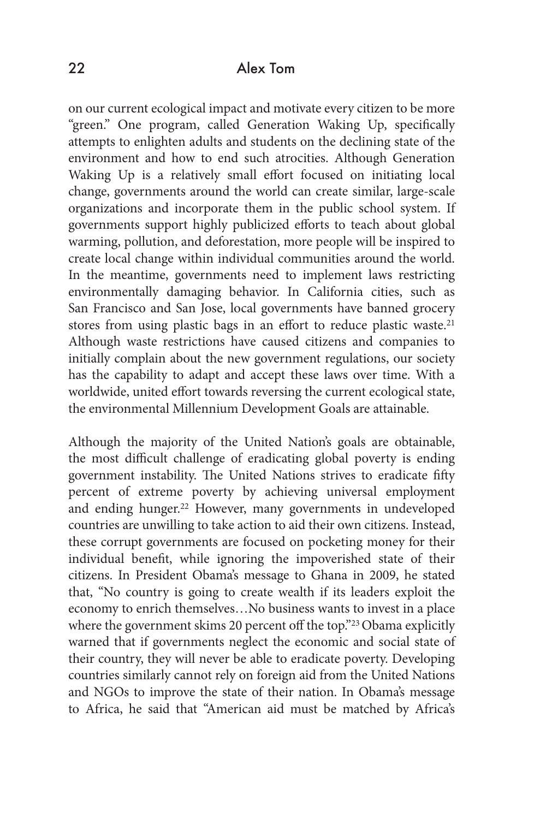on our current ecological impact and motivate every citizen to be more "green." One program, called Generation Waking Up, specifically attempts to enlighten adults and students on the declining state of the environment and how to end such atrocities. Although Generation Waking Up is a relatively small effort focused on initiating local change, governments around the world can create similar, large-scale organizations and incorporate them in the public school system. If governments support highly publicized efforts to teach about global warming, pollution, and deforestation, more people will be inspired to create local change within individual communities around the world. In the meantime, governments need to implement laws restricting environmentally damaging behavior. In California cities, such as San Francisco and San Jose, local governments have banned grocery stores from using plastic bags in an effort to reduce plastic waste.<sup>21</sup> Although waste restrictions have caused citizens and companies to initially complain about the new government regulations, our society has the capability to adapt and accept these laws over time. With a worldwide, united effort towards reversing the current ecological state, the environmental Millennium Development Goals are attainable.

Although the majority of the United Nation's goals are obtainable, the most difficult challenge of eradicating global poverty is ending government instability. The United Nations strives to eradicate fifty percent of extreme poverty by achieving universal employment and ending hunger.<sup>22</sup> However, many governments in undeveloped countries are unwilling to take action to aid their own citizens. Instead, these corrupt governments are focused on pocketing money for their individual benefit, while ignoring the impoverished state of their citizens. In President Obama's message to Ghana in 2009, he stated that, "No country is going to create wealth if its leaders exploit the economy to enrich themselves…No business wants to invest in a place where the government skims 20 percent off the top."<sup>23</sup> Obama explicitly warned that if governments neglect the economic and social state of their country, they will never be able to eradicate poverty. Developing countries similarly cannot rely on foreign aid from the United Nations and NGOs to improve the state of their nation. In Obama's message to Africa, he said that "American aid must be matched by Africa's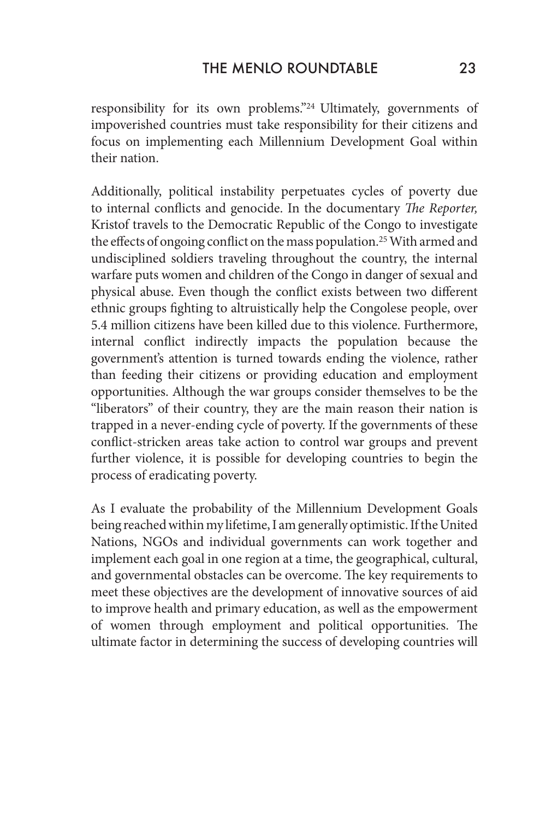responsibility for its own problems."24 Ultimately, governments of impoverished countries must take responsibility for their citizens and focus on implementing each Millennium Development Goal within their nation.

Additionally, political instability perpetuates cycles of poverty due to internal conflicts and genocide. In the documentary *The Reporter,* Kristof travels to the Democratic Republic of the Congo to investigate the effects of ongoing conflict on the mass population.25 With armed and undisciplined soldiers traveling throughout the country, the internal warfare puts women and children of the Congo in danger of sexual and physical abuse. Even though the conflict exists between two different ethnic groups fighting to altruistically help the Congolese people, over 5.4 million citizens have been killed due to this violence. Furthermore, internal conflict indirectly impacts the population because the government's attention is turned towards ending the violence, rather than feeding their citizens or providing education and employment opportunities. Although the war groups consider themselves to be the "liberators" of their country, they are the main reason their nation is trapped in a never-ending cycle of poverty. If the governments of these conflict-stricken areas take action to control war groups and prevent further violence, it is possible for developing countries to begin the process of eradicating poverty.

As I evaluate the probability of the Millennium Development Goals being reached within my lifetime, I am generally optimistic. If the United Nations, NGOs and individual governments can work together and implement each goal in one region at a time, the geographical, cultural, and governmental obstacles can be overcome. The key requirements to meet these objectives are the development of innovative sources of aid to improve health and primary education, as well as the empowerment of women through employment and political opportunities. The ultimate factor in determining the success of developing countries will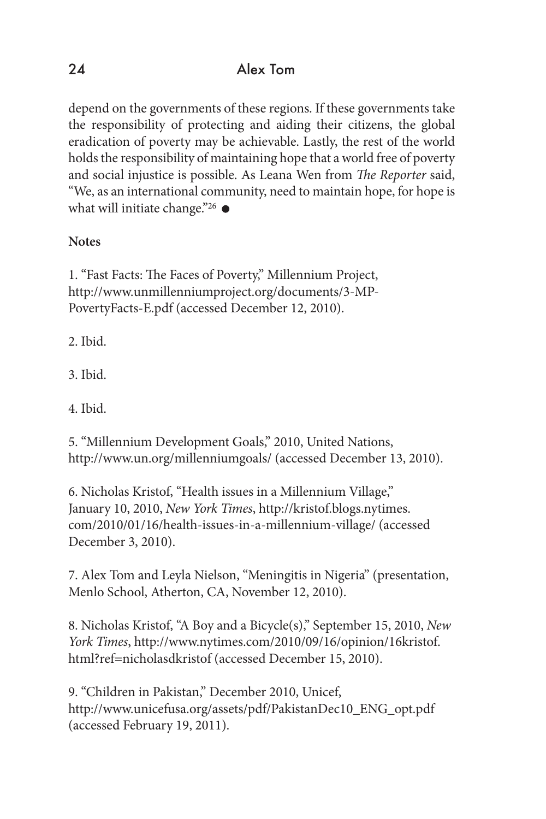depend on the governments of these regions. If these governments take the responsibility of protecting and aiding their citizens, the global eradication of poverty may be achievable. Lastly, the rest of the world holds the responsibility of maintaining hope that a world free of poverty and social injustice is possible. As Leana Wen from *The Reporter* said, "We, as an international community, need to maintain hope, for hope is what will initiate change."26  $\bullet$ 

### **Notes**

1. "Fast Facts: The Faces of Poverty," Millennium Project, http://www.unmillenniumproject.org/documents/3-MP-PovertyFacts-E.pdf (accessed December 12, 2010).

2. Ibid.

3. Ibid.

4. Ibid.

5. "Millennium Development Goals," 2010, United Nations, http://www.un.org/millenniumgoals/ (accessed December 13, 2010).

6. Nicholas Kristof, "Health issues in a Millennium Village," January 10, 2010, *New York Times*, http://kristof.blogs.nytimes. com/2010/01/16/health-issues-in-a-millennium-village/ (accessed December 3, 2010).

7. Alex Tom and Leyla Nielson, "Meningitis in Nigeria" (presentation, Menlo School, Atherton, CA, November 12, 2010).

8. Nicholas Kristof, "A Boy and a Bicycle(s)," September 15, 2010, *New York Times*, http://www.nytimes.com/2010/09/16/opinion/16kristof. html?ref=nicholasdkristof (accessed December 15, 2010).

9. "Children in Pakistan," December 2010, Unicef, http://www.unicefusa.org/assets/pdf/PakistanDec10\_ENG\_opt.pdf (accessed February 19, 2011).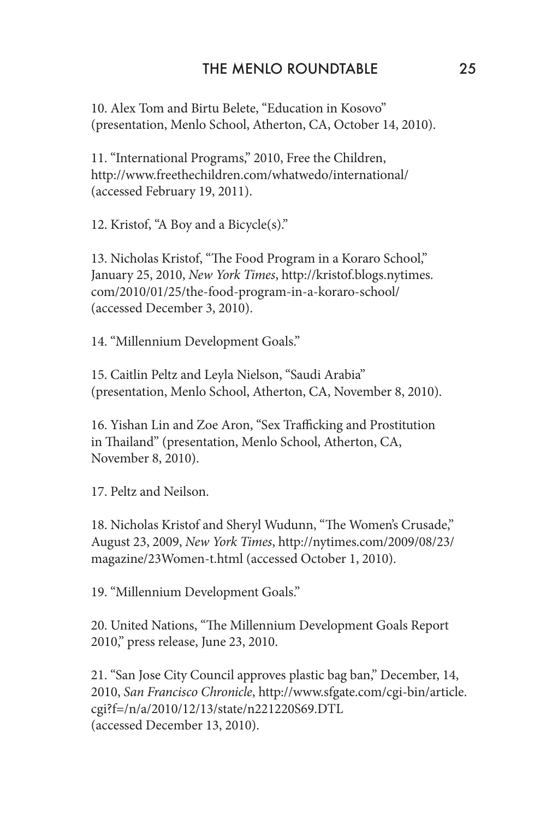10. Alex Tom and Birtu Belete, "Education in Kosovo" (presentation, Menlo School, Atherton, CA, October 14, 2010).

11. "International Programs," 2010, Free the Children, http://www.freethechildren.com/whatwedo/international/ (accessed February 19, 2011).

12. Kristof, "A Boy and a Bicycle(s)."

13. Nicholas Kristof, "The Food Program in a Koraro School," January 25, 2010, *New York Times*, http://kristof.blogs.nytimes. com/2010/01/25/the-food-program-in-a-koraro-school/ (accessed December 3, 2010).

14. "Millennium Development Goals."

15. Caitlin Peltz and Leyla Nielson, "Saudi Arabia" (presentation, Menlo School, Atherton, CA, November 8, 2010).

16. Yishan Lin and Zoe Aron, "Sex Trafficking and Prostitution in Thailand" (presentation, Menlo School, Atherton, CA, November 8, 2010).

17. Peltz and Neilson.

18. Nicholas Kristof and Sheryl Wudunn, "The Women's Crusade," August 23, 2009, *New York Times*, http://nytimes.com/2009/08/23/ magazine/23Women-t.html (accessed October 1, 2010).

19. "Millennium Development Goals."

20. United Nations, "The Millennium Development Goals Report 2010," press release, June 23, 2010.

21. "San Jose City Council approves plastic bag ban," December, 14, 2010, *San Francisco Chronicle*, http://www.sfgate.com/cgi-bin/article. cgi?f=/n/a/2010/12/13/state/n221220S69.DTL (accessed December 13, 2010).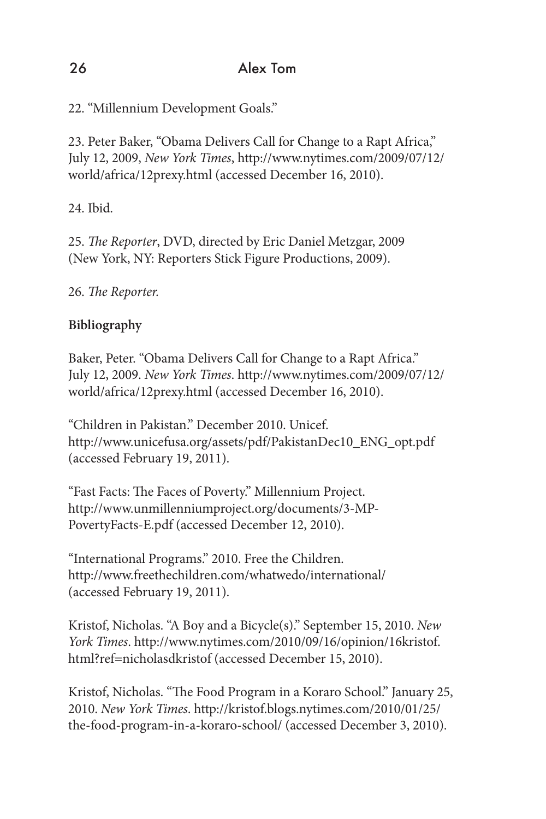22. "Millennium Development Goals."

23. Peter Baker, "Obama Delivers Call for Change to a Rapt Africa," July 12, 2009, *New York Times*, http://www.nytimes.com/2009/07/12/ world/africa/12prexy.html (accessed December 16, 2010).

24. Ibid.

25. *The Reporter*, DVD, directed by Eric Daniel Metzgar, 2009 (New York, NY: Reporters Stick Figure Productions, 2009).

# 26. *The Reporter.*

# **Bibliography**

Baker, Peter. "Obama Delivers Call for Change to a Rapt Africa." July 12, 2009. *New York Times*. http://www.nytimes.com/2009/07/12/ world/africa/12prexy.html (accessed December 16, 2010).

"Children in Pakistan." December 2010. Unicef. http://www.unicefusa.org/assets/pdf/PakistanDec10\_ENG\_opt.pdf (accessed February 19, 2011).

"Fast Facts: The Faces of Poverty." Millennium Project. http://www.unmillenniumproject.org/documents/3-MP-PovertyFacts-E.pdf (accessed December 12, 2010).

"International Programs." 2010. Free the Children. http://www.freethechildren.com/whatwedo/international/ (accessed February 19, 2011).

Kristof, Nicholas. "A Boy and a Bicycle(s)." September 15, 2010. *New York Times*. http://www.nytimes.com/2010/09/16/opinion/16kristof. html?ref=nicholasdkristof (accessed December 15, 2010).

Kristof, Nicholas. "The Food Program in a Koraro School." January 25, 2010. *New York Times*. http://kristof.blogs.nytimes.com/2010/01/25/ the-food-program-in-a-koraro-school/ (accessed December 3, 2010).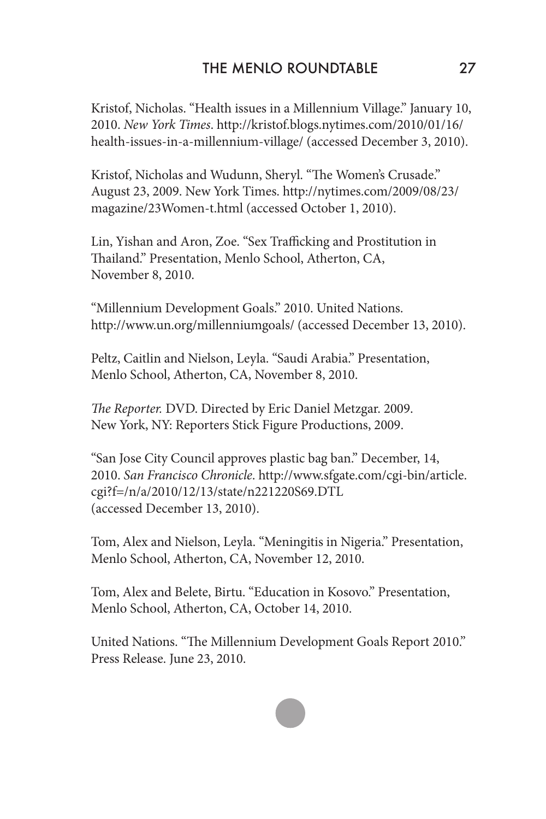Kristof, Nicholas. "Health issues in a Millennium Village." January 10, 2010. *New York Times*. http://kristof.blogs.nytimes.com/2010/01/16/ health-issues-in-a-millennium-village/ (accessed December 3, 2010).

Kristof, Nicholas and Wudunn, Sheryl. "The Women's Crusade." August 23, 2009. New York Times. http://nytimes.com/2009/08/23/ magazine/23Women-t.html (accessed October 1, 2010).

Lin, Yishan and Aron, Zoe. "Sex Trafficking and Prostitution in Thailand." Presentation, Menlo School, Atherton, CA, November 8, 2010.

"Millennium Development Goals." 2010. United Nations. http://www.un.org/millenniumgoals/ (accessed December 13, 2010).

Peltz, Caitlin and Nielson, Leyla. "Saudi Arabia." Presentation, Menlo School, Atherton, CA, November 8, 2010.

*The Reporter.* DVD. Directed by Eric Daniel Metzgar. 2009. New York, NY: Reporters Stick Figure Productions, 2009.

"San Jose City Council approves plastic bag ban." December, 14, 2010. *San Francisco Chronicle*. http://www.sfgate.com/cgi-bin/article. cgi?f=/n/a/2010/12/13/state/n221220S69.DTL (accessed December 13, 2010).

Tom, Alex and Nielson, Leyla. "Meningitis in Nigeria." Presentation, Menlo School, Atherton, CA, November 12, 2010.

Tom, Alex and Belete, Birtu. "Education in Kosovo." Presentation, Menlo School, Atherton, CA, October 14, 2010.

United Nations. "The Millennium Development Goals Report 2010." Press Release. June 23, 2010.